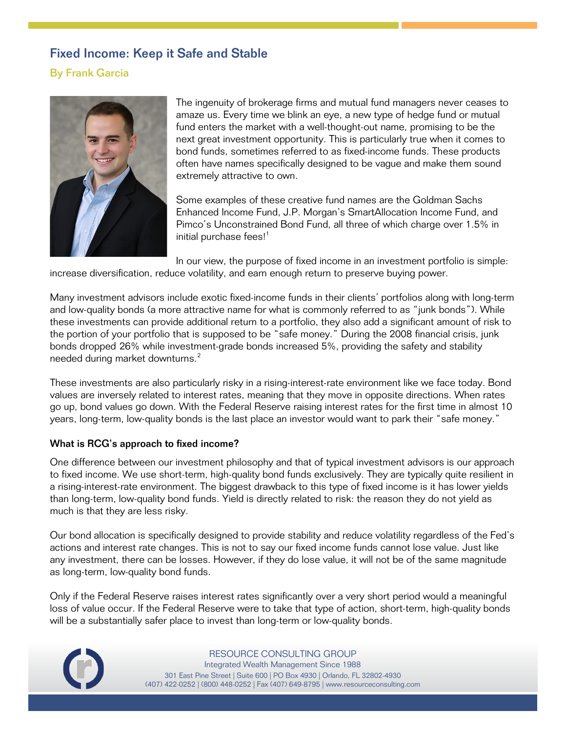## Fixed Income: Keep it Safe and Stable

## By Frank Garcia



The ingenuity of brokerage firms and mutual fund managers never ceases to amaze us. Every time we blink an eye, a new type of hedge fund or mutual fund enters the market with a well-thought-out name, promising to be the next great investment opportunity. This is particularly true when it comes to bond funds, sometimes referred to as fixed-income funds. These products often have names specifically designed to be vague and make them sound extremely attractive to own.

Some examples of these creative fund names are the Goldman Sachs Enhanced Income Fund, J.P. Morgan's SmartAllocation Income Fund, and Pimco's Unconstrained Bond Fund, all three of which charge over 1.5% in initial purchase fees!<sup>[1](#page-1-0)</sup>

In our view, the purpose of fixed income in an investment portfolio is simple: increase diversification, reduce volatility, and earn enough return to preserve buying power.

Many investment advisors include exotic fixed-income funds in their clients' portfolios along with long-term and low-quality bonds (a more attractive name for what is commonly referred to as "junk bonds"). While these investments can provide additional return to a portfolio, they also add a significant amount of risk to the portion of your portfolio that is supposed to be "safe money." During the 2008 financial crisis, junk bonds dropped 26% while investment-grade bonds increased 5%, providing the safety and stability needed during market downturns. [2](#page-1-1)

These investments are also particularly risky in a rising-interest-rate environment like we face today. Bond values are inversely related to interest rates, meaning that they move in opposite directions. When rates go up, bond values go down. With the Federal Reserve raising interest rates for the first time in almost 10 years, long-term, low-quality bonds is the last place an investor would want to park their "safe money."

## What is RCG's approach to fixed income?

One difference between our investment philosophy and that of typical investment advisors is our approach to fixed income. We use short-term, high-quality bond funds exclusively. They are typically quite resilient in a rising-interest-rate environment. The biggest drawback to this type of fixed income is it has lower yields than long-term, low-quality bond funds. Yield is directly related to risk: the reason they do not yield as much is that they are less risky.

Our bond allocation is specifically designed to provide stability and reduce volatility regardless of the Fed's actions and interest rate changes. This is not to say our fixed income funds cannot lose value. Just like any investment, there can be losses. However, if they do lose value, it will not be of the same magnitude as long-term, low-quality bond funds.

Only if the Federal Reserve raises interest rates significantly over a very short period would a meaningful loss of value occur. If the Federal Reserve were to take that type of action, short-term, high-quality bonds will be a substantially safer place to invest than long-term or low-quality bonds.



RESOURCE CONSULTING GROUP Integrated Wealth Management Since 1988 301 East Pine Street | Suite 600 | PO Box 4930 | Orlando, FL 32802-4930 (407) 422-0252 | (800) 448-0252 | Fax (407) 649-8795 [| www.resourceconsulting.com](http://www.resourceconsulting.com/)